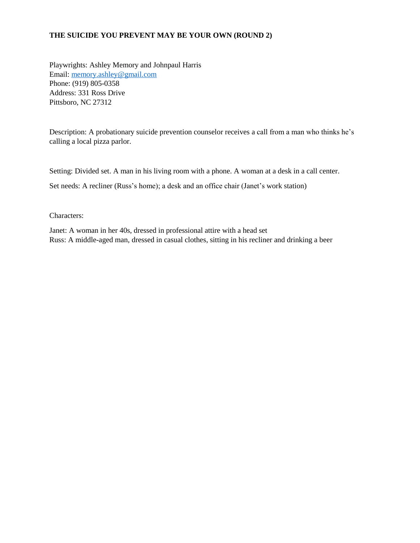## **THE SUICIDE YOU PREVENT MAY BE YOUR OWN (ROUND 2)**

Playwrights: Ashley Memory and Johnpaul Harris Email: [memory.ashley@gmail.com](mailto:memory.ashley@gmail.com) Phone: (919) 805-0358 Address: 331 Ross Drive Pittsboro, NC 27312

Description: A probationary suicide prevention counselor receives a call from a man who thinks he's calling a local pizza parlor.

Setting: Divided set. A man in his living room with a phone. A woman at a desk in a call center.

Set needs: A recliner (Russ's home); a desk and an office chair (Janet's work station)

Characters:

Janet: A woman in her 40s, dressed in professional attire with a head set Russ: A middle-aged man, dressed in casual clothes, sitting in his recliner and drinking a beer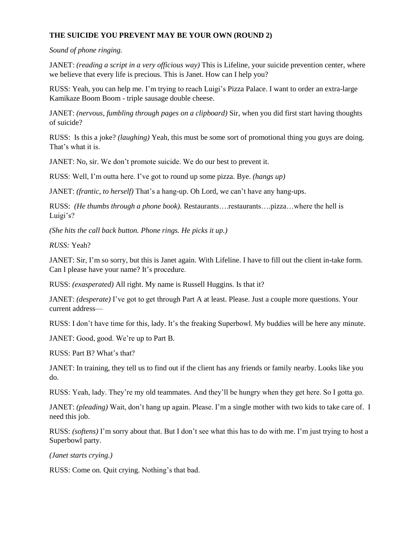## **THE SUICIDE YOU PREVENT MAY BE YOUR OWN (ROUND 2)**

## *Sound of phone ringing.*

JANET: *(reading a script in a very officious way)* This is Lifeline, your suicide prevention center, where we believe that every life is precious. This is Janet. How can I help you?

RUSS: Yeah, you can help me. I'm trying to reach Luigi's Pizza Palace. I want to order an extra-large Kamikaze Boom Boom - triple sausage double cheese.

JANET: *(nervous, fumbling through pages on a clipboard)* Sir, when you did first start having thoughts of suicide?

RUSS: Is this a joke? *(laughing)* Yeah, this must be some sort of promotional thing you guys are doing. That's what it is.

JANET: No, sir. We don't promote suicide. We do our best to prevent it.

RUSS: Well, I'm outta here. I've got to round up some pizza. Bye. *(hangs up)*

JANET: *(frantic, to herself)* That's a hang-up. Oh Lord, we can't have any hang-ups.

RUSS: *(He thumbs through a phone book).* Restaurants….restaurants….pizza…where the hell is Luigi's?

*(She hits the call back button. Phone rings. He picks it up.)* 

*RUSS:* Yeah?

JANET: Sir, I'm so sorry, but this is Janet again. With Lifeline. I have to fill out the client in-take form. Can I please have your name? It's procedure.

RUSS: *(exasperated)* All right. My name is Russell Huggins. Is that it?

JANET: *(desperate)* I've got to get through Part A at least. Please. Just a couple more questions. Your current address—

RUSS: I don't have time for this, lady. It's the freaking Superbowl. My buddies will be here any minute.

JANET: Good, good. We're up to Part B.

RUSS: Part B? What's that?

JANET: In training, they tell us to find out if the client has any friends or family nearby. Looks like you do.

RUSS: Yeah, lady. They're my old teammates. And they'll be hungry when they get here. So I gotta go.

JANET: *(pleading)* Wait, don't hang up again. Please. I'm a single mother with two kids to take care of. I need this job.

RUSS: *(softens)* I'm sorry about that. But I don't see what this has to do with me. I'm just trying to host a Superbowl party.

*(Janet starts crying.)* 

RUSS: Come on. Quit crying. Nothing's that bad.